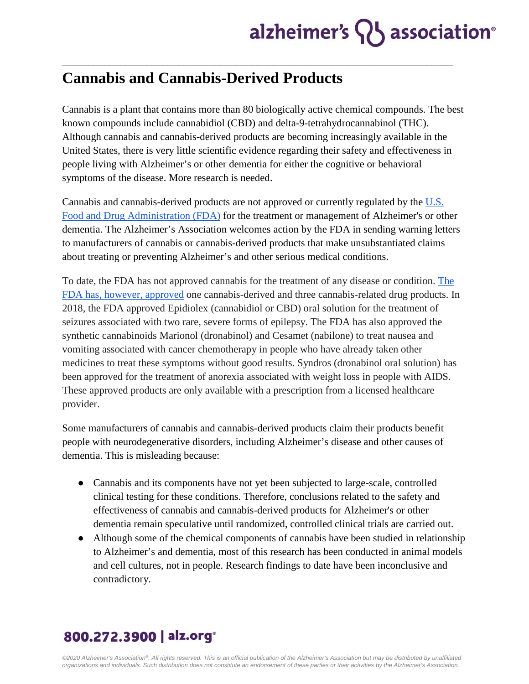## **Cannabis and Cannabis-Derived Products**

Cannabis is a plant that contains more than 80 biologically active chemical compounds. The best known compounds include cannabidiol (CBD) and delta-9-tetrahydrocannabinol (THC). Although cannabis and cannabis-derived products are becoming increasingly available in the United States, there is very little scientific evidence regarding their safety and effectiveness in people living with Alzheimer's or other dementia for either the cognitive or behavioral symptoms of the disease. More research is needed.

**\_\_\_\_\_\_\_\_\_\_\_\_\_\_\_\_\_\_\_\_\_\_\_\_\_\_\_\_\_\_\_\_\_\_\_\_\_\_\_\_\_\_\_\_\_\_\_\_\_\_\_\_\_\_\_\_\_\_\_\_\_\_\_\_\_\_\_\_\_\_\_\_\_\_**

Cannabis and cannabis-derived products are not approved or currently regulated by th[e](https://www.fda.gov/consumers/consumer-updates/what-you-need-know-and-what-were-working-find-out-about-products-containing-cannabis-or-cannabis?utm_campaign=What%20You%20Need%20to%20Know%20About%20Products%20Containing%20CBD&utm_medium=email&utm_source=Eloqua) [U.S.](https://www.fda.gov/consumers/consumer-updates/what-you-need-know-and-what-were-working-find-out-about-products-containing-cannabis-or-cannabis?utm_campaign=What%20You%20Need%20to%20Know%20About%20Products%20Containing%20CBD&utm_medium=email&utm_source=Eloqua) [Food and Drug Administration \(FDA\)](https://www.fda.gov/consumers/consumer-updates/what-you-need-know-and-what-were-working-find-out-about-products-containing-cannabis-or-cannabis?utm_campaign=What%20You%20Need%20to%20Know%20About%20Products%20Containing%20CBD&utm_medium=email&utm_source=Eloqua) for the treatment or management of Alzheimer's or other dementia. The Alzheimer's Association welcomes action by the FDA in sending warning letters to manufacturers of cannabis or cannabis-derived products that make unsubstantiated claims about treating or preventing Alzheimer's and other serious medical conditions.

To date, the FDA has not approved cannabis for the treatment of any disease or condition[.](https://www.fda.gov/news-events/public-health-focus/fda-regulation-cannabis-and-cannabis-derived-products-questions-and-answers#approved) [The](https://www.fda.gov/news-events/public-health-focus/fda-regulation-cannabis-and-cannabis-derived-products-questions-and-answers#approved)  [FDA has, however, approved](https://www.fda.gov/news-events/public-health-focus/fda-regulation-cannabis-and-cannabis-derived-products-questions-and-answers#approved) one cannabis-derived and three cannabis-related drug products. In 2018, the FDA approved Epidiolex (cannabidiol or CBD) oral solution for the treatment of seizures associated with two rare, severe forms of epilepsy. The FDA has also approved the synthetic cannabinoids Marionol (dronabinol) and Cesamet (nabilone) to treat nausea and vomiting associated with cancer chemotherapy in people who have already taken other medicines to treat these symptoms without good results. Syndros (dronabinol oral solution) has been approved for the treatment of anorexia associated with weight loss in people with AIDS. These approved products are only available with a prescription from a licensed healthcare provider.

Some manufacturers of cannabis and cannabis-derived products claim their products benefit people with neurodegenerative disorders, including Alzheimer's disease and other causes of dementia. This is misleading because:

- Cannabis and its components have not yet been subjected to large-scale, controlled clinical testing for these conditions. Therefore, conclusions related to the safety and effectiveness of cannabis and cannabis-derived products for Alzheimer's or other dementia remain speculative until randomized, controlled clinical trials are carried out.
- Although some of the chemical components of cannabis have been studied in relationship to Alzheimer's and dementia, most of this research has been conducted in animal models and cell cultures, not in people. Research findings to date have been inconclusive and contradictory.

## 800.272.3900 | alz.org<sup>®</sup>